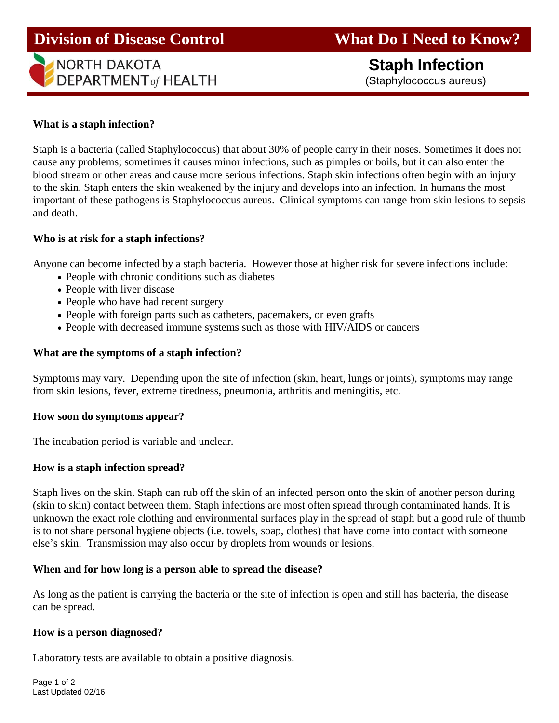# **Division of Disease Control What Do I Need to Know?**

# **NORTH DAKOTA DEPARTMENT** of HEALTH

 **Staph Infection** (Staphylococcus aureus)

### **What is a staph infection?**

Ĩ

Staph is a bacteria (called Staphylococcus) that about 30% of people carry in their noses. Sometimes it does not cause any problems; sometimes it causes minor infections, such as pimples or boils, but it can also enter the blood stream or other areas and cause more serious infections. Staph skin infections often begin with an injury to the skin. Staph enters the skin weakened by the injury and develops into an infection. In humans the most important of these pathogens is Staphylococcus aureus. Clinical symptoms can range from skin lesions to sepsis and death.

#### **Who is at risk for a staph infections?**

Anyone can become infected by a staph bacteria. However those at higher risk for severe infections include:

- People with chronic conditions such as diabetes
- People with liver disease
- People who have had recent surgery
- People with foreign parts such as catheters, pacemakers, or even grafts
- People with decreased immune systems such as those with HIV/AIDS or cancers

#### **What are the symptoms of a staph infection?**

Symptoms may vary. Depending upon the site of infection (skin, heart, lungs or joints), symptoms may range from skin lesions, fever, extreme tiredness, pneumonia, arthritis and meningitis, etc.

#### **How soon do symptoms appear?**

The incubation period is variable and unclear.

#### **How is a staph infection spread?**

Staph lives on the skin. Staph can rub off the skin of an infected person onto the skin of another person during (skin to skin) contact between them. Staph infections are most often spread through contaminated hands. It is unknown the exact role clothing and environmental surfaces play in the spread of staph but a good rule of thumb is to not share personal hygiene objects (i.e. towels, soap, clothes) that have come into contact with someone else's skin. Transmission may also occur by droplets from wounds or lesions.

#### **When and for how long is a person able to spread the disease?**

As long as the patient is carrying the bacteria or the site of infection is open and still has bacteria, the disease can be spread.

#### **How is a person diagnosed?**

Laboratory tests are available to obtain a positive diagnosis.